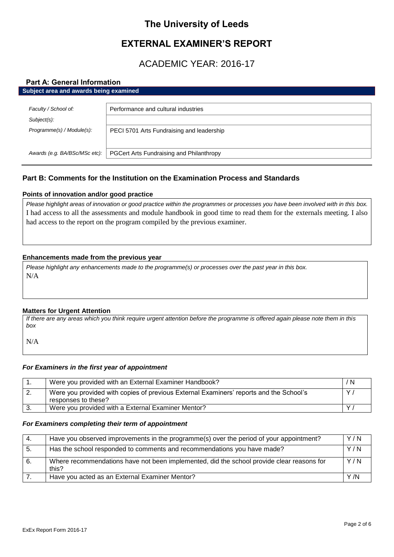## **The University of Leeds**

# **EXTERNAL EXAMINER'S REPORT**

# ACADEMIC YEAR: 2016-17

#### **Part A: General Information Subject area and awards being examined**

| Faculty / School of:          | Performance and cultural industries       |  |
|-------------------------------|-------------------------------------------|--|
| $Subject(s)$ :                |                                           |  |
| Programme(s) / Module(s):     | PECI 5701 Arts Fundraising and leadership |  |
|                               |                                           |  |
| Awards (e.g. BA/BSc/MSc etc): | PGCert Arts Fundraising and Philanthropy  |  |
|                               |                                           |  |

## **Part B: Comments for the Institution on the Examination Process and Standards**

## **Points of innovation and/or good practice**

*Please highlight areas of innovation or good practice within the programmes or processes you have been involved with in this box.* I had access to all the assessments and module handbook in good time to read them for the externals meeting. I also had access to the report on the program compiled by the previous examiner.

## **Enhancements made from the previous year**

*Please highlight any enhancements made to the programme(s) or processes over the past year in this box.* N/A

### **Matters for Urgent Attention**

*If there are any areas which you think require urgent attention before the programme is offered again please note them in this box*

N/A

## *For Examiners in the first year of appointment*

|    | Were you provided with an External Examiner Handbook?                                                         | / N |
|----|---------------------------------------------------------------------------------------------------------------|-----|
| 2. | Were you provided with copies of previous External Examiners' reports and the School's<br>responses to these? | Y   |
| 3. | Were you provided with a External Examiner Mentor?                                                            |     |

### *For Examiners completing their term of appointment*

| -4. | Have you observed improvements in the programme(s) over the period of your appointment?            | Y/N  |
|-----|----------------------------------------------------------------------------------------------------|------|
| -5. | Has the school responded to comments and recommendations you have made?                            | Y/N  |
| -6. | Where recommendations have not been implemented, did the school provide clear reasons for<br>this? | Y/N  |
|     | Have you acted as an External Examiner Mentor?                                                     | Y /N |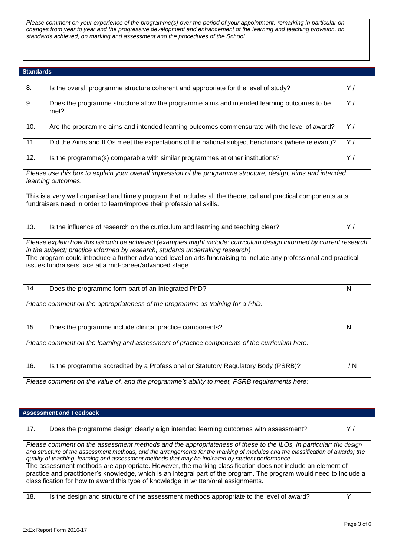*Please comment on your experience of the programme(s) over the period of your appointment, remarking in particular on changes from year to year and the progressive development and enhancement of the learning and teaching provision, on standards achieved, on marking and assessment and the procedures of the School*

#### **Standards**

| 8.                                                                                                                                                                                                                                                                                                                                                                                     | Is the overall programme structure coherent and appropriate for the level of study?                                                                                                       | Y/             |
|----------------------------------------------------------------------------------------------------------------------------------------------------------------------------------------------------------------------------------------------------------------------------------------------------------------------------------------------------------------------------------------|-------------------------------------------------------------------------------------------------------------------------------------------------------------------------------------------|----------------|
| 9.                                                                                                                                                                                                                                                                                                                                                                                     | Does the programme structure allow the programme aims and intended learning outcomes to be<br>met?                                                                                        | $\overline{Y}$ |
| 10.                                                                                                                                                                                                                                                                                                                                                                                    | Are the programme aims and intended learning outcomes commensurate with the level of award?                                                                                               | $\overline{Y}$ |
| 11.                                                                                                                                                                                                                                                                                                                                                                                    | Did the Aims and ILOs meet the expectations of the national subject benchmark (where relevant)?                                                                                           | $\overline{Y}$ |
| $\overline{12}$ .                                                                                                                                                                                                                                                                                                                                                                      | Is the programme(s) comparable with similar programmes at other institutions?                                                                                                             | $\overline{Y}$ |
|                                                                                                                                                                                                                                                                                                                                                                                        | Please use this box to explain your overall impression of the programme structure, design, aims and intended<br>learning outcomes.                                                        |                |
|                                                                                                                                                                                                                                                                                                                                                                                        | This is a very well organised and timely program that includes all the theoretical and practical components arts<br>fundraisers need in order to learn/improve their professional skills. |                |
| $\overline{13}$ .                                                                                                                                                                                                                                                                                                                                                                      | Is the influence of research on the curriculum and learning and teaching clear?                                                                                                           | $\overline{Y}$ |
| Please explain how this is/could be achieved (examples might include: curriculum design informed by current research<br>in the subject; practice informed by research; students undertaking research)<br>The program could introduce a further advanced level on arts fundraising to include any professional and practical<br>issues fundraisers face at a mid-career/advanced stage. |                                                                                                                                                                                           |                |
| 14.                                                                                                                                                                                                                                                                                                                                                                                    | Does the programme form part of an Integrated PhD?                                                                                                                                        | $\mathsf{N}$   |
|                                                                                                                                                                                                                                                                                                                                                                                        | Please comment on the appropriateness of the programme as training for a PhD:                                                                                                             |                |
| $\overline{15}$ .                                                                                                                                                                                                                                                                                                                                                                      | Does the programme include clinical practice components?                                                                                                                                  | $\mathsf{N}$   |
| Please comment on the learning and assessment of practice components of the curriculum here:                                                                                                                                                                                                                                                                                           |                                                                                                                                                                                           |                |
| 16.                                                                                                                                                                                                                                                                                                                                                                                    | Is the programme accredited by a Professional or Statutory Regulatory Body (PSRB)?                                                                                                        | / N            |
|                                                                                                                                                                                                                                                                                                                                                                                        | Please comment on the value of, and the programme's ability to meet, PSRB requirements here:                                                                                              |                |

#### **Assessment and Feedback**

| 17.                                                                                                                                                                                                                                                                                                                                                                                                                                                                                                                                                                                                                                                                                   | Does the programme design clearly align intended learning outcomes with assessment?      | Υ. |
|---------------------------------------------------------------------------------------------------------------------------------------------------------------------------------------------------------------------------------------------------------------------------------------------------------------------------------------------------------------------------------------------------------------------------------------------------------------------------------------------------------------------------------------------------------------------------------------------------------------------------------------------------------------------------------------|------------------------------------------------------------------------------------------|----|
| Please comment on the assessment methods and the appropriateness of these to the ILOs, in particular: the design<br>and structure of the assessment methods, and the arrangements for the marking of modules and the classification of awards; the<br>quality of teaching, learning and assessment methods that may be indicated by student performance.<br>The assessment methods are appropriate. However, the marking classification does not include an element of<br>practice and practitioner's knowledge, which is an integral part of the program. The program would need to include a<br>classification for how to award this type of knowledge in written/oral assignments. |                                                                                          |    |
| 18.                                                                                                                                                                                                                                                                                                                                                                                                                                                                                                                                                                                                                                                                                   | Is the design and structure of the assessment methods appropriate to the level of award? |    |